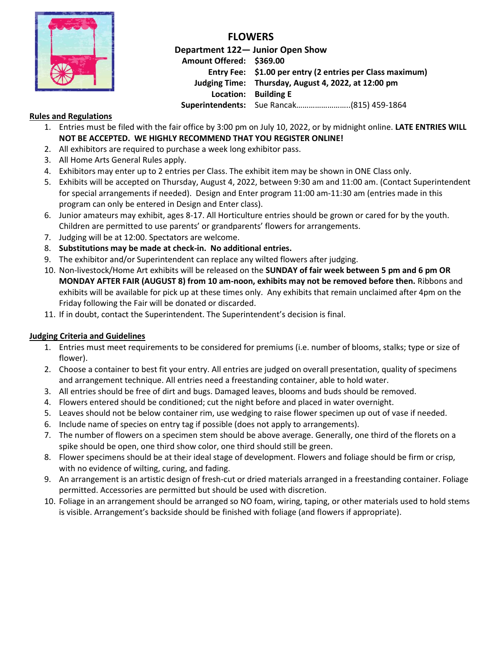

**FLOWERS**

**Department 122— Junior Open Show Amount Offered: \$369.00 Entry Fee: \$1.00 per entry (2 entries per Class maximum) Judging Time: Thursday, August 4, 2022, at 12:00 pm Location: Building E Superintendents:** Sue Rancak……………………..(815) 459-1864

## **Rules and Regulations**

- 1. Entries must be filed with the fair office by 3:00 pm on July 10, 2022, or by midnight online. **LATE ENTRIES WILL NOT BE ACCEPTED. WE HIGHLY RECOMMEND THAT YOU REGISTER ONLINE!**
- 2. All exhibitors are required to purchase a week long exhibitor pass.
- 3. All Home Arts General Rules apply.
- 4. Exhibitors may enter up to 2 entries per Class. The exhibit item may be shown in ONE Class only.
- 5. Exhibits will be accepted on Thursday, August 4, 2022, between 9:30 am and 11:00 am. (Contact Superintendent for special arrangements if needed). Design and Enter program 11:00 am-11:30 am (entries made in this program can only be entered in Design and Enter class).
- 6. Junior amateurs may exhibit, ages 8-17. All Horticulture entries should be grown or cared for by the youth. Children are permitted to use parents' or grandparents' flowers for arrangements.
- 7. Judging will be at 12:00. Spectators are welcome.
- 8. **Substitutions may be made at check-in. No additional entries.**
- 9. The exhibitor and/or Superintendent can replace any wilted flowers after judging.
- 10. Non-livestock/Home Art exhibits will be released on the **SUNDAY of fair week between 5 pm and 6 pm OR MONDAY AFTER FAIR (AUGUST 8) from 10 am-noon, exhibits may not be removed before then.** Ribbons and exhibits will be available for pick up at these times only. Any exhibits that remain unclaimed after 4pm on the Friday following the Fair will be donated or discarded.
- 11. If in doubt, contact the Superintendent. The Superintendent's decision is final.

## **Judging Criteria and Guidelines**

- 1. Entries must meet requirements to be considered for premiums (i.e. number of blooms, stalks; type or size of flower).
- 2. Choose a container to best fit your entry. All entries are judged on overall presentation, quality of specimens and arrangement technique. All entries need a freestanding container, able to hold water.
- 3. All entries should be free of dirt and bugs. Damaged leaves, blooms and buds should be removed.
- 4. Flowers entered should be conditioned; cut the night before and placed in water overnight.
- 5. Leaves should not be below container rim, use wedging to raise flower specimen up out of vase if needed.
- 6. Include name of species on entry tag if possible (does not apply to arrangements).
- 7. The number of flowers on a specimen stem should be above average. Generally, one third of the florets on a spike should be open, one third show color, one third should still be green.
- 8. Flower specimens should be at their ideal stage of development. Flowers and foliage should be firm or crisp, with no evidence of wilting, curing, and fading.
- 9. An arrangement is an artistic design of fresh-cut or dried materials arranged in a freestanding container. Foliage permitted. Accessories are permitted but should be used with discretion.
- 10. Foliage in an arrangement should be arranged so NO foam, wiring, taping, or other materials used to hold stems is visible. Arrangement's backside should be finished with foliage (and flowers if appropriate).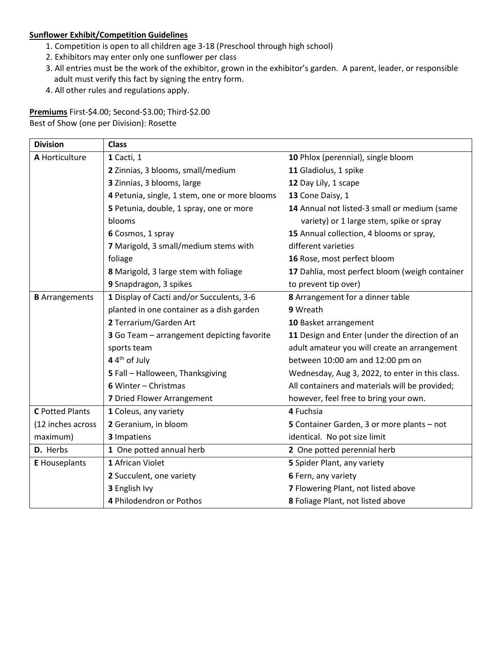## **Sunflower Exhibit/Competition Guidelines**

- 1. Competition is open to all children age 3-18 (Preschool through high school)
- 2. Exhibitors may enter only one sunflower per class
- 3. All entries must be the work of the exhibitor, grown in the exhibitor's garden. A parent, leader, or responsible adult must verify this fact by signing the entry form.
- 4. All other rules and regulations apply.

**Premiums** First-\$4.00; Second-\$3.00; Third-\$2.00 Best of Show (one per Division): Rosette

| <b>Division</b>        | <b>Class</b>                                                 |                                                 |  |  |
|------------------------|--------------------------------------------------------------|-------------------------------------------------|--|--|
| A Horticulture         | 1 Cacti, 1                                                   | 10 Phlox (perennial), single bloom              |  |  |
|                        | 2 Zinnias, 3 blooms, small/medium                            | 11 Gladiolus, 1 spike                           |  |  |
|                        | 3 Zinnias, 3 blooms, large                                   | 12 Day Lily, 1 scape                            |  |  |
|                        | 4 Petunia, single, 1 stem, one or more blooms                | 13 Cone Daisy, 1                                |  |  |
|                        | 5 Petunia, double, 1 spray, one or more                      | 14 Annual not listed-3 small or medium (same    |  |  |
|                        | blooms                                                       | variety) or 1 large stem, spike or spray        |  |  |
|                        | 6 Cosmos, 1 spray                                            | 15 Annual collection, 4 blooms or spray,        |  |  |
|                        | 7 Marigold, 3 small/medium stems with<br>different varieties |                                                 |  |  |
|                        | foliage                                                      | 16 Rose, most perfect bloom                     |  |  |
|                        | 8 Marigold, 3 large stem with foliage                        | 17 Dahlia, most perfect bloom (weigh container  |  |  |
|                        | 9 Snapdragon, 3 spikes                                       | to prevent tip over)                            |  |  |
| <b>B</b> Arrangements  | 1 Display of Cacti and/or Succulents, 3-6                    | 8 Arrangement for a dinner table                |  |  |
|                        | planted in one container as a dish garden                    | 9 Wreath                                        |  |  |
|                        | 2 Terrarium/Garden Art                                       | 10 Basket arrangement                           |  |  |
|                        | 3 Go Team - arrangement depicting favorite                   | 11 Design and Enter (under the direction of an  |  |  |
|                        | sports team                                                  | adult amateur you will create an arrangement    |  |  |
|                        | 4 4 <sup>th</sup> of July                                    | between 10:00 am and 12:00 pm on                |  |  |
|                        | 5 Fall - Halloween, Thanksgiving                             | Wednesday, Aug 3, 2022, to enter in this class. |  |  |
|                        | 6 Winter - Christmas                                         | All containers and materials will be provided;  |  |  |
|                        | 7 Dried Flower Arrangement                                   | however, feel free to bring your own.           |  |  |
| <b>C</b> Potted Plants | 1 Coleus, any variety                                        | 4 Fuchsia                                       |  |  |
| (12 inches across      | 2 Geranium, in bloom                                         | 5 Container Garden, 3 or more plants - not      |  |  |
| maximum)               | 3 Impatiens                                                  | identical. No pot size limit                    |  |  |
| D. Herbs               | 1 One potted annual herb                                     | 2 One potted perennial herb                     |  |  |
| <b>E</b> Houseplants   | 1 African Violet                                             | 5 Spider Plant, any variety                     |  |  |
|                        | 2 Succulent, one variety                                     | 6 Fern, any variety                             |  |  |
|                        | 3 English Ivy                                                | 7 Flowering Plant, not listed above             |  |  |
|                        | 4 Philodendron or Pothos                                     | 8 Foliage Plant, not listed above               |  |  |